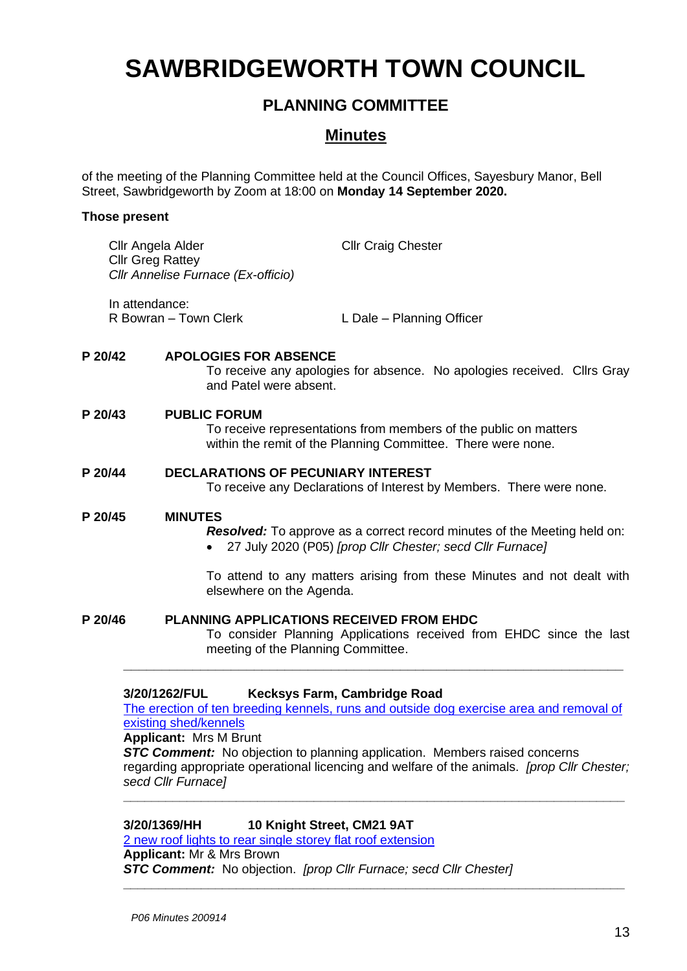# **SAWBRIDGEWORTH TOWN COUNCIL**

# **PLANNING COMMITTEE**

## **Minutes**

of the meeting of the Planning Committee held at the Council Offices, Sayesbury Manor, Bell Street, Sawbridgeworth by Zoom at 18:00 on **Monday 14 September 2020.**

#### **Those present**

|         | Cllr Angela Alder<br><b>Cllr Greg Rattey</b><br>Cllr Annelise Furnace (Ex-officio) | <b>Cllr Craig Chester</b> |
|---------|------------------------------------------------------------------------------------|---------------------------|
|         | In attendance:<br>R Bowran – Town Clerk                                            | L Dale - Planning Officer |
| P 20/42 | <b>APOLOGIES FOR ABSENCE</b>                                                       |                           |

To receive any apologies for absence. No apologies received. Cllrs Gray and Patel were absent.

#### **P 20/43 PUBLIC FORUM**

To receive representations from members of the public on matters within the remit of the Planning Committee. There were none.

#### **P 20/44 DECLARATIONS OF PECUNIARY INTEREST**

To receive any Declarations of Interest by Members. There were none.

#### **P 20/45 MINUTES**

*Resolved:* To approve as a correct record minutes of the Meeting held on: • 27 July 2020 (P05) *[prop Cllr Chester; secd Cllr Furnace]*

To attend to any matters arising from these Minutes and not dealt with elsewhere on the Agenda.

### **P 20/46 PLANNING APPLICATIONS RECEIVED FROM EHDC**

To consider Planning Applications received from EHDC since the last meeting of the Planning Committee.

#### **3/20/1262/FUL Kecksys Farm, Cambridge Road**

[The erection of ten breeding kennels, runs and outside dog exercise area and removal of](https://publicaccess.eastherts.gov.uk/online-applications/applicationDetails.do?activeTab=documents&keyVal=QD58FDGL00X00)  existing [shed/kennels](https://publicaccess.eastherts.gov.uk/online-applications/applicationDetails.do?activeTab=documents&keyVal=QD58FDGL00X00)

**\_\_\_\_\_\_\_\_\_\_\_\_\_\_\_\_\_\_\_\_\_\_\_\_\_\_\_\_\_\_\_\_\_\_\_\_\_\_\_\_\_\_\_\_\_\_\_\_\_\_\_\_\_\_\_\_\_\_\_\_\_\_\_\_\_**

#### **Applicant:** Mrs M Brunt

**STC Comment:** No objection to planning application. Members raised concerns regarding appropriate operational licencing and welfare of the animals. *[prop Cllr Chester; secd Cllr Furnace]*

**\_\_\_\_\_\_\_\_\_\_\_\_\_\_\_\_\_\_\_\_\_\_\_\_\_\_\_\_\_\_\_\_\_\_\_\_\_\_\_\_\_\_\_\_\_\_\_\_\_\_\_\_\_\_\_\_\_\_\_\_\_\_\_\_\_\_\_\_\_\_\_**

**3/20/1369/HH 10 Knight Street, CM21 9AT**

[2 new roof lights to rear single storey flat roof extension](https://publicaccess.eastherts.gov.uk/online-applications/applicationDetails.do?activeTab=documents&keyVal=QDTFZAGLHOH00) **Applicant:** Mr & Mrs Brown *STC Comment:* No objection. *[prop Cllr Furnace; secd Cllr Chester]* **\_\_\_\_\_\_\_\_\_\_\_\_\_\_\_\_\_\_\_\_\_\_\_\_\_\_\_\_\_\_\_\_\_\_\_\_\_\_\_\_\_\_\_\_\_\_\_\_\_\_\_\_\_\_\_\_\_\_\_\_\_\_\_\_\_\_\_\_\_\_\_**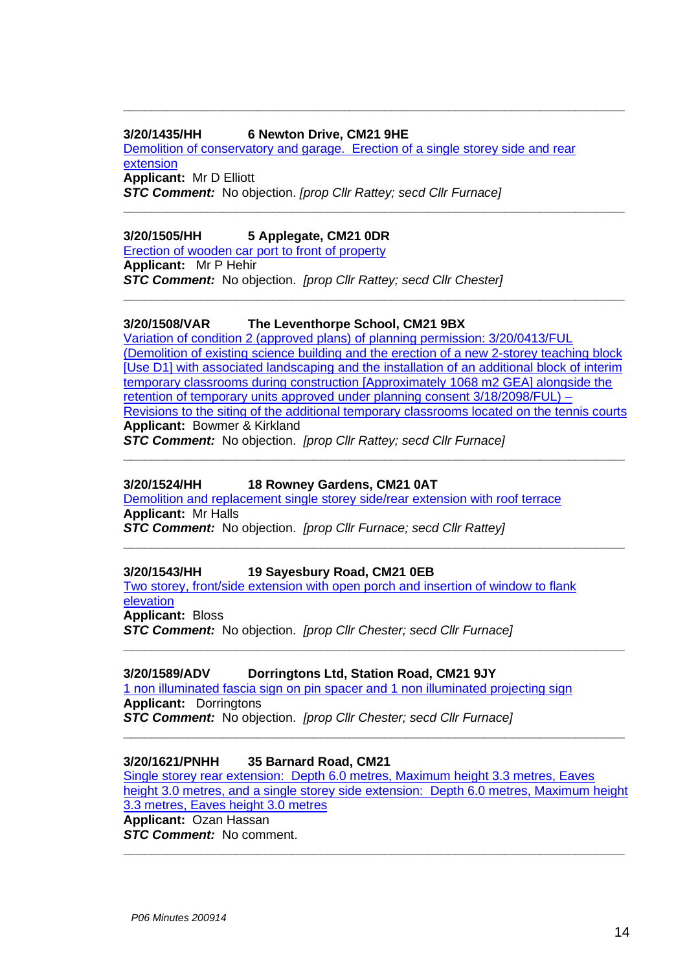#### **3/20/1435/HH 6 Newton Drive, CM21 9HE**

[Demolition of conservatory and garage. Erection of a single storey side and rear](https://publicaccess.eastherts.gov.uk/online-applications/applicationDetails.do?activeTab=documents&keyVal=QE7YAHGLHSY00)  [extension](https://publicaccess.eastherts.gov.uk/online-applications/applicationDetails.do?activeTab=documents&keyVal=QE7YAHGLHSY00) **Applicant:** Mr D Elliott *STC Comment:* No objection. *[prop Cllr Rattey; secd Cllr Furnace]*

**\_\_\_\_\_\_\_\_\_\_\_\_\_\_\_\_\_\_\_\_\_\_\_\_\_\_\_\_\_\_\_\_\_\_\_\_\_\_\_\_\_\_\_\_\_\_\_\_\_\_\_\_\_\_\_\_\_\_\_\_\_\_\_\_\_\_\_\_\_\_\_**

**\_\_\_\_\_\_\_\_\_\_\_\_\_\_\_\_\_\_\_\_\_\_\_\_\_\_\_\_\_\_\_\_\_\_\_\_\_\_\_\_\_\_\_\_\_\_\_\_\_\_\_\_\_\_\_\_\_\_\_\_\_\_\_\_\_\_\_\_\_\_\_**

**\_\_\_\_\_\_\_\_\_\_\_\_\_\_\_\_\_\_\_\_\_\_\_\_\_\_\_\_\_\_\_\_\_\_\_\_\_\_\_\_\_\_\_\_\_\_\_\_\_\_\_\_\_\_\_\_\_\_\_\_\_\_\_\_\_\_\_\_\_\_\_**

#### **3/20/1505/HH 5 Applegate, CM21 0DR**

[Erection of wooden car port to front of property](https://publicaccess.eastherts.gov.uk/online-applications/applicationDetails.do?activeTab=documents&keyVal=QENDSBGLHYA00)

**Applicant:** Mr P Hehir *STC Comment:* No objection. *[prop Cllr Rattey; secd Cllr Chester]*

#### **3/20/1508/VAR The Leventhorpe School, CM21 9BX**

[Variation of condition 2 \(approved plans\) of planning permission: 3/20/0413/FUL](https://publicaccess.eastherts.gov.uk/online-applications/applicationDetails.do?activeTab=documents&keyVal=QEP8IQGLHYL00)  [\(Demolition of existing science building and the erection of a new 2-storey teaching block](https://publicaccess.eastherts.gov.uk/online-applications/applicationDetails.do?activeTab=documents&keyVal=QEP8IQGLHYL00)  [\[Use D1\] with associated landscaping and the installation of an additional block of interim](https://publicaccess.eastherts.gov.uk/online-applications/applicationDetails.do?activeTab=documents&keyVal=QEP8IQGLHYL00)  [temporary classrooms during construction \[Approximately 1068 m2 GEA\] alongside the](https://publicaccess.eastherts.gov.uk/online-applications/applicationDetails.do?activeTab=documents&keyVal=QEP8IQGLHYL00)  [retention of temporary units approved under planning consent 3/18/2098/FUL\) –](https://publicaccess.eastherts.gov.uk/online-applications/applicationDetails.do?activeTab=documents&keyVal=QEP8IQGLHYL00) [Revisions to the siting of the additional temporary classrooms located on the tennis courts](https://publicaccess.eastherts.gov.uk/online-applications/applicationDetails.do?activeTab=documents&keyVal=QEP8IQGLHYL00) **Applicant:** Bowmer & Kirkland

**\_\_\_\_\_\_\_\_\_\_\_\_\_\_\_\_\_\_\_\_\_\_\_\_\_\_\_\_\_\_\_\_\_\_\_\_\_\_\_\_\_\_\_\_\_\_\_\_\_\_\_\_\_\_\_\_\_\_\_\_\_\_\_\_\_\_\_\_\_\_\_**

**\_\_\_\_\_\_\_\_\_\_\_\_\_\_\_\_\_\_\_\_\_\_\_\_\_\_\_\_\_\_\_\_\_\_\_\_\_\_\_\_\_\_\_\_\_\_\_\_\_\_\_\_\_\_\_\_\_\_\_\_\_\_\_\_\_\_\_\_\_\_\_**

**\_\_\_\_\_\_\_\_\_\_\_\_\_\_\_\_\_\_\_\_\_\_\_\_\_\_\_\_\_\_\_\_\_\_\_\_\_\_\_\_\_\_\_\_\_\_\_\_\_\_\_\_\_\_\_\_\_\_\_\_\_\_\_\_\_\_\_\_\_\_\_**

*STC Comment:* No objection. *[prop Cllr Rattey; secd Cllr Furnace]*

#### **3/20/1524/HH 18 Rowney Gardens, CM21 0AT**

[Demolition and replacement single storey side/rear extension with roof terrace](https://publicaccess.eastherts.gov.uk/online-applications/applicationDetails.do?activeTab=documents&keyVal=QEW0X0GLI0500) **Applicant:** Mr Halls *STC Comment:* No objection. *[prop Cllr Furnace; secd Cllr Rattey]*

**3/20/1543/HH 19 Sayesbury Road, CM21 0EB** [Two storey, front/side extension with open porch and insertion of window to flank](https://publicaccess.eastherts.gov.uk/online-applications/applicationDetails.do?activeTab=documents&keyVal=QEYHRMGLI1K00)  [elevation](https://publicaccess.eastherts.gov.uk/online-applications/applicationDetails.do?activeTab=documents&keyVal=QEYHRMGLI1K00)

**Applicant:** Bloss

*STC Comment:* No objection. *[prop Cllr Chester; secd Cllr Furnace]*

#### **3/20/1589/ADV Dorringtons Ltd, Station Road, CM21 9JY**

[1 non illuminated fascia sign on pin spacer and 1 non illuminated projecting sign](https://publicaccess.eastherts.gov.uk/online-applications/applicationDetails.do?activeTab=documents&keyVal=QFCZY4GLI4V00) **Applicant:** Dorringtons *STC Comment:* No objection. *[prop Cllr Chester; secd Cllr Furnace]*

**\_\_\_\_\_\_\_\_\_\_\_\_\_\_\_\_\_\_\_\_\_\_\_\_\_\_\_\_\_\_\_\_\_\_\_\_\_\_\_\_\_\_\_\_\_\_\_\_\_\_\_\_\_\_\_\_\_\_\_\_\_\_\_\_\_\_\_\_\_\_\_**

#### **3/20/1621/PNHH 35 Barnard Road, CM21**

[Single storey rear extension: Depth 6.0 metres, Maximum height 3.3 metres, Eaves](https://publicaccess.eastherts.gov.uk/online-applications/applicationDetails.do?activeTab=documents&keyVal=QFKQJNGL00X00)  [height 3.0 metres, and a single storey side extension: Depth 6.0 metres, Maximum height](https://publicaccess.eastherts.gov.uk/online-applications/applicationDetails.do?activeTab=documents&keyVal=QFKQJNGL00X00)  [3.3 metres, Eaves height 3.0 metres](https://publicaccess.eastherts.gov.uk/online-applications/applicationDetails.do?activeTab=documents&keyVal=QFKQJNGL00X00)

**\_\_\_\_\_\_\_\_\_\_\_\_\_\_\_\_\_\_\_\_\_\_\_\_\_\_\_\_\_\_\_\_\_\_\_\_\_\_\_\_\_\_\_\_\_\_\_\_\_\_\_\_\_\_\_\_\_\_\_\_\_\_\_\_\_\_\_\_\_\_\_**

**Applicant:** Ozan Hassan

*STC Comment:* No comment.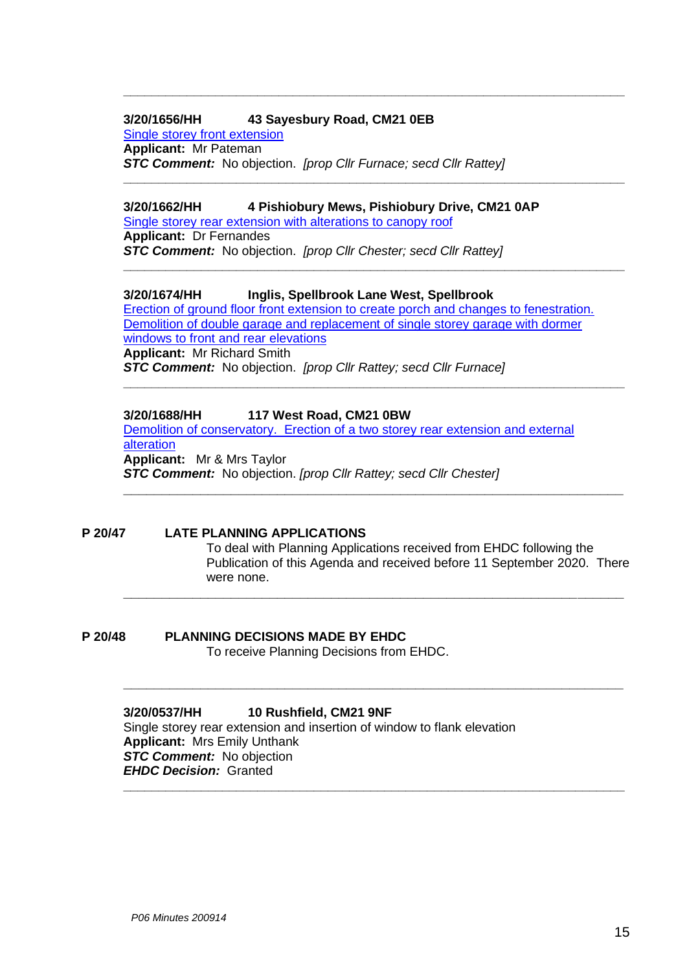#### **3/20/1656/HH 43 Sayesbury Road, CM21 0EB**

[Single storey front extension](https://publicaccess.eastherts.gov.uk/online-applications/applicationDetails.do?activeTab=documents&keyVal=QFZ0V8GL00X00) **Applicant:** Mr Pateman *STC Comment:* No objection. *[prop Cllr Furnace; secd Cllr Rattey]*

#### **3/20/1662/HH 4 Pishiobury Mews, Pishiobury Drive, CM21 0AP**

[Single storey rear extension with alterations to canopy roof](https://publicaccess.eastherts.gov.uk/online-applications/applicationDetails.do?activeTab=documents&keyVal=QG0RJAGLIA600) **Applicant:** Dr Fernandes *STC Comment:* No objection. *[prop Cllr Chester; secd Cllr Rattey]*

#### **3/20/1674/HH Inglis, Spellbrook Lane West, Spellbrook**

[Erection of ground floor front extension to create porch and changes to fenestration.](https://publicaccess.eastherts.gov.uk/online-applications/applicationDetails.do?activeTab=documents&keyVal=QG2M88GLIB200)  Demolition of double garage and replacement of single storey garage with dormer [windows to front and rear elevations](https://publicaccess.eastherts.gov.uk/online-applications/applicationDetails.do?activeTab=documents&keyVal=QG2M88GLIB200) **Applicant:** Mr Richard Smith *STC Comment:* No objection. *[prop Cllr Rattey; secd Cllr Furnace]*

**\_\_\_\_\_\_\_\_\_\_\_\_\_\_\_\_\_\_\_\_\_\_\_\_\_\_\_\_\_\_\_\_\_\_\_\_\_\_\_\_\_\_\_\_\_\_\_\_\_\_\_\_\_\_\_\_\_\_\_\_\_\_\_\_\_\_\_\_\_\_\_**

**\_\_\_\_\_\_\_\_\_\_\_\_\_\_\_\_\_\_\_\_\_\_\_\_\_\_\_\_\_\_\_\_\_\_\_\_\_\_\_\_\_\_\_\_\_\_\_\_\_\_\_\_\_\_\_\_\_\_\_\_\_\_\_\_\_\_\_\_\_\_\_**

**\_\_\_\_\_\_\_\_\_\_\_\_\_\_\_\_\_\_\_\_\_\_\_\_\_\_\_\_\_\_\_\_\_\_\_\_\_\_\_\_\_\_\_\_\_\_\_\_\_\_\_\_\_\_\_\_\_\_\_\_\_\_\_\_\_\_\_\_\_\_\_**

**\_\_\_\_\_\_\_\_\_\_\_\_\_\_\_\_\_\_\_\_\_\_\_\_\_\_\_\_\_\_\_\_\_\_\_\_\_\_\_\_\_\_\_\_\_\_\_\_\_\_\_\_\_\_\_\_\_\_\_\_\_\_\_\_\_\_\_\_\_\_\_**

**\_\_\_\_\_\_\_\_\_\_\_\_\_\_\_\_\_\_\_\_\_\_\_\_\_\_\_\_\_\_\_\_\_\_\_\_\_\_\_\_\_\_\_\_\_\_\_\_\_\_\_\_\_\_\_\_\_\_\_\_\_\_\_\_\_**

**\_\_\_\_\_\_\_\_\_\_\_\_\_\_\_\_\_\_\_\_\_\_\_\_\_\_\_\_\_\_\_\_\_\_\_\_\_\_\_\_\_\_\_\_\_\_\_\_\_\_\_\_\_\_\_\_\_\_\_\_\_\_\_\_\_**

**\_\_\_\_\_\_\_\_\_\_\_\_\_\_\_\_\_\_\_\_\_\_\_\_\_\_\_\_\_\_\_\_\_\_\_\_\_\_\_\_\_\_\_\_\_\_\_\_\_\_\_\_\_\_\_\_\_\_\_\_\_\_\_\_\_**

**\_\_\_\_\_\_\_\_\_\_\_\_\_\_\_\_\_\_\_\_\_\_\_\_\_\_\_\_\_\_\_\_\_\_\_\_\_\_\_\_\_\_\_\_\_\_\_\_\_\_\_\_\_\_\_\_\_\_\_\_\_\_\_\_\_\_\_\_\_\_\_**

#### **3/20/1688/HH 117 West Road, CM21 0BW**

[Demolition of conservatory. Erection of a two storey rear extension and external](https://publicaccess.eastherts.gov.uk/online-applications/applicationDetails.do?activeTab=documents&keyVal=QG4H1DGLIC500)  [alteration](https://publicaccess.eastherts.gov.uk/online-applications/applicationDetails.do?activeTab=documents&keyVal=QG4H1DGLIC500) **Applicant:** Mr & Mrs Taylor *STC Comment:* No objection. *[prop Cllr Rattey; secd Cllr Chester]*

#### **P 20/47 LATE PLANNING APPLICATIONS**

To deal with Planning Applications received from EHDC following the Publication of this Agenda and received before 11 September 2020. There were none.

#### **P 20/48 PLANNING DECISIONS MADE BY EHDC**

To receive Planning Decisions from EHDC.

**3/20/0537/HH 10 Rushfield, CM21 9NF** Single storey rear extension and insertion of window to flank elevation **Applicant:** Mrs Emily Unthank *STC Comment:* No objection *EHDC Decision:* Granted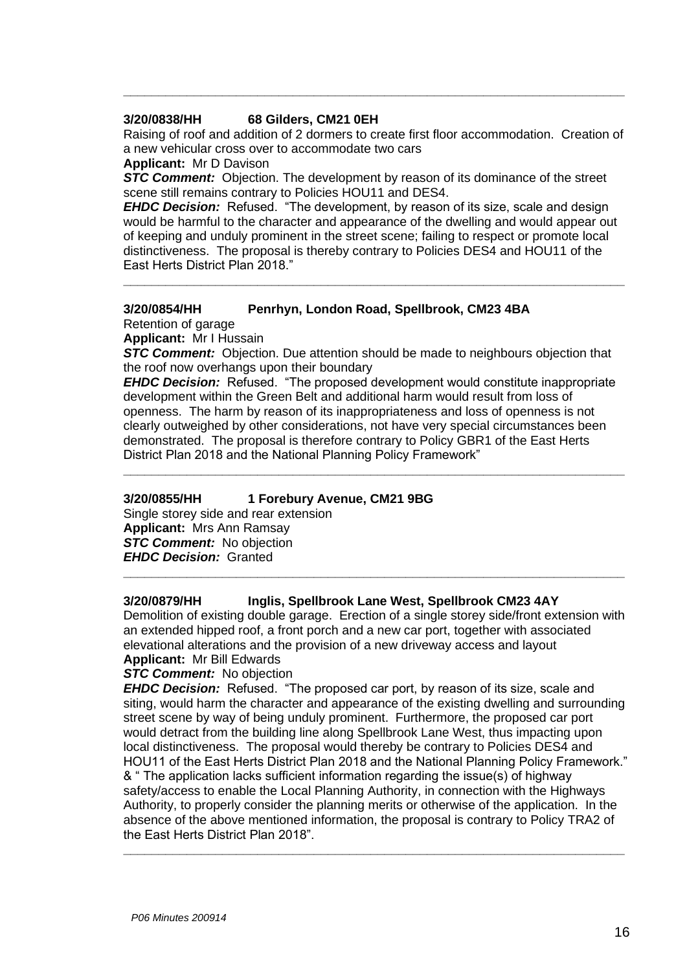#### **3/20/0838/HH 68 Gilders, CM21 0EH**

Raising of roof and addition of 2 dormers to create first floor accommodation. Creation of a new vehicular cross over to accommodate two cars

**\_\_\_\_\_\_\_\_\_\_\_\_\_\_\_\_\_\_\_\_\_\_\_\_\_\_\_\_\_\_\_\_\_\_\_\_\_\_\_\_\_\_\_\_\_\_\_\_\_\_\_\_\_\_\_\_\_\_\_\_\_\_\_\_\_\_\_\_\_\_\_**

#### **Applicant:** Mr D Davison

**STC Comment:** Objection. The development by reason of its dominance of the street scene still remains contrary to Policies HOU11 and DES4.

*EHDC Decision:* Refused. "The development, by reason of its size, scale and design would be harmful to the character and appearance of the dwelling and would appear out of keeping and unduly prominent in the street scene; failing to respect or promote local distinctiveness. The proposal is thereby contrary to Policies DES4 and HOU11 of the East Herts District Plan 2018."

**\_\_\_\_\_\_\_\_\_\_\_\_\_\_\_\_\_\_\_\_\_\_\_\_\_\_\_\_\_\_\_\_\_\_\_\_\_\_\_\_\_\_\_\_\_\_\_\_\_\_\_\_\_\_\_\_\_\_\_\_\_\_\_\_\_\_\_\_\_\_\_**

#### **3/20/0854/HH Penrhyn, London Road, Spellbrook, CM23 4BA** Retention of garage

**Applicant:** Mr I Hussain

**STC Comment:** Objection. Due attention should be made to neighbours objection that the roof now overhangs upon their boundary

*EHDC Decision:* Refused. "The proposed development would constitute inappropriate development within the Green Belt and additional harm would result from loss of openness. The harm by reason of its inappropriateness and loss of openness is not clearly outweighed by other considerations, not have very special circumstances been demonstrated. The proposal is therefore contrary to Policy GBR1 of the East Herts District Plan 2018 and the National Planning Policy Framework"

**\_\_\_\_\_\_\_\_\_\_\_\_\_\_\_\_\_\_\_\_\_\_\_\_\_\_\_\_\_\_\_\_\_\_\_\_\_\_\_\_\_\_\_\_\_\_\_\_\_\_\_\_\_\_\_\_\_\_\_\_\_\_\_\_\_\_\_\_\_\_\_**

#### **3/20/0855/HH 1 Forebury Avenue, CM21 9BG**

Single storey side and rear extension **Applicant:** Mrs Ann Ramsay **STC Comment:** No objection *EHDC Decision:* Granted

#### **3/20/0879/HH Inglis, Spellbrook Lane West, Spellbrook CM23 4AY**

Demolition of existing double garage. Erection of a single storey side/front extension with an extended hipped roof, a front porch and a new car port, together with associated elevational alterations and the provision of a new driveway access and layout **Applicant:** Mr Bill Edwards

**\_\_\_\_\_\_\_\_\_\_\_\_\_\_\_\_\_\_\_\_\_\_\_\_\_\_\_\_\_\_\_\_\_\_\_\_\_\_\_\_\_\_\_\_\_\_\_\_\_\_\_\_\_\_\_\_\_\_\_\_\_\_\_\_\_\_\_\_\_\_\_**

#### **STC Comment:** No objection

*EHDC Decision:* Refused. "The proposed car port, by reason of its size, scale and siting, would harm the character and appearance of the existing dwelling and surrounding street scene by way of being unduly prominent. Furthermore, the proposed car port would detract from the building line along Spellbrook Lane West, thus impacting upon local distinctiveness. The proposal would thereby be contrary to Policies DES4 and HOU11 of the East Herts District Plan 2018 and the National Planning Policy Framework." & " The application lacks sufficient information regarding the issue(s) of highway safety/access to enable the Local Planning Authority, in connection with the Highways Authority, to properly consider the planning merits or otherwise of the application. In the absence of the above mentioned information, the proposal is contrary to Policy TRA2 of the East Herts District Plan 2018".

**\_\_\_\_\_\_\_\_\_\_\_\_\_\_\_\_\_\_\_\_\_\_\_\_\_\_\_\_\_\_\_\_\_\_\_\_\_\_\_\_\_\_\_\_\_\_\_\_\_\_\_\_\_\_\_\_\_\_\_\_\_\_\_\_\_\_\_\_\_\_\_**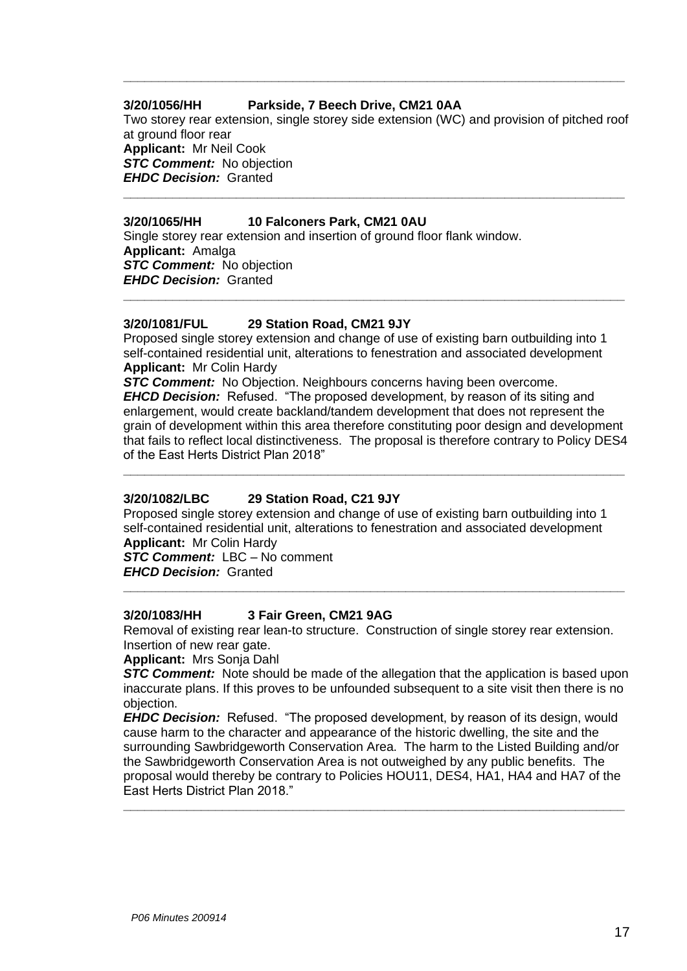#### **3/20/1056/HH Parkside, 7 Beech Drive, CM21 0AA**

Two storey rear extension, single storey side extension (WC) and provision of pitched roof at ground floor rear **Applicant:** Mr Neil Cook *STC Comment:* No objection *EHDC Decision:* Granted **\_\_\_\_\_\_\_\_\_\_\_\_\_\_\_\_\_\_\_\_\_\_\_\_\_\_\_\_\_\_\_\_\_\_\_\_\_\_\_\_\_\_\_\_\_\_\_\_\_\_\_\_\_\_\_\_\_\_\_\_\_\_\_\_\_\_\_\_\_\_\_**

**\_\_\_\_\_\_\_\_\_\_\_\_\_\_\_\_\_\_\_\_\_\_\_\_\_\_\_\_\_\_\_\_\_\_\_\_\_\_\_\_\_\_\_\_\_\_\_\_\_\_\_\_\_\_\_\_\_\_\_\_\_\_\_\_\_\_\_\_\_\_\_**

#### **3/20/1065/HH 10 Falconers Park, CM21 0AU**

Single storey rear extension and insertion of ground floor flank window. **Applicant:** Amalga *STC Comment:* No objection *EHDC Decision:* Granted **\_\_\_\_\_\_\_\_\_\_\_\_\_\_\_\_\_\_\_\_\_\_\_\_\_\_\_\_\_\_\_\_\_\_\_\_\_\_\_\_\_\_\_\_\_\_\_\_\_\_\_\_\_\_\_\_\_\_\_\_\_\_\_\_\_\_\_\_\_\_\_**

#### **3/20/1081/FUL 29 Station Road, CM21 9JY**

Proposed single storey extension and change of use of existing barn outbuilding into 1 self-contained residential unit, alterations to fenestration and associated development **Applicant:** Mr Colin Hardy

*STC Comment:* No Objection. Neighbours concerns having been overcome. *EHCD Decision:* Refused. "The proposed development, by reason of its siting and enlargement, would create backland/tandem development that does not represent the grain of development within this area therefore constituting poor design and development that fails to reflect local distinctiveness. The proposal is therefore contrary to Policy DES4 of the East Herts District Plan 2018"

**\_\_\_\_\_\_\_\_\_\_\_\_\_\_\_\_\_\_\_\_\_\_\_\_\_\_\_\_\_\_\_\_\_\_\_\_\_\_\_\_\_\_\_\_\_\_\_\_\_\_\_\_\_\_\_\_\_\_\_\_\_\_\_\_\_\_\_\_\_\_\_**

#### **3/20/1082/LBC 29 Station Road, C21 9JY**

Proposed single storey extension and change of use of existing barn outbuilding into 1 self-contained residential unit, alterations to fenestration and associated development **Applicant:** Mr Colin Hardy

*STC Comment:* LBC – No comment *EHCD Decision:* Granted

#### **3/20/1083/HH 3 Fair Green, CM21 9AG**

Removal of existing rear lean-to structure. Construction of single storey rear extension. Insertion of new rear gate.

**\_\_\_\_\_\_\_\_\_\_\_\_\_\_\_\_\_\_\_\_\_\_\_\_\_\_\_\_\_\_\_\_\_\_\_\_\_\_\_\_\_\_\_\_\_\_\_\_\_\_\_\_\_\_\_\_\_\_\_\_\_\_\_\_\_\_\_\_\_\_\_**

**Applicant:** Mrs Sonja Dahl

**STC Comment:** Note should be made of the allegation that the application is based upon inaccurate plans. If this proves to be unfounded subsequent to a site visit then there is no objection.

*EHDC Decision:* Refused. "The proposed development, by reason of its design, would cause harm to the character and appearance of the historic dwelling, the site and the surrounding Sawbridgeworth Conservation Area. The harm to the Listed Building and/or the Sawbridgeworth Conservation Area is not outweighed by any public benefits. The proposal would thereby be contrary to Policies HOU11, DES4, HA1, HA4 and HA7 of the East Herts District Plan 2018."

**\_\_\_\_\_\_\_\_\_\_\_\_\_\_\_\_\_\_\_\_\_\_\_\_\_\_\_\_\_\_\_\_\_\_\_\_\_\_\_\_\_\_\_\_\_\_\_\_\_\_\_\_\_\_\_\_\_\_\_\_\_\_\_\_\_\_\_\_\_\_\_**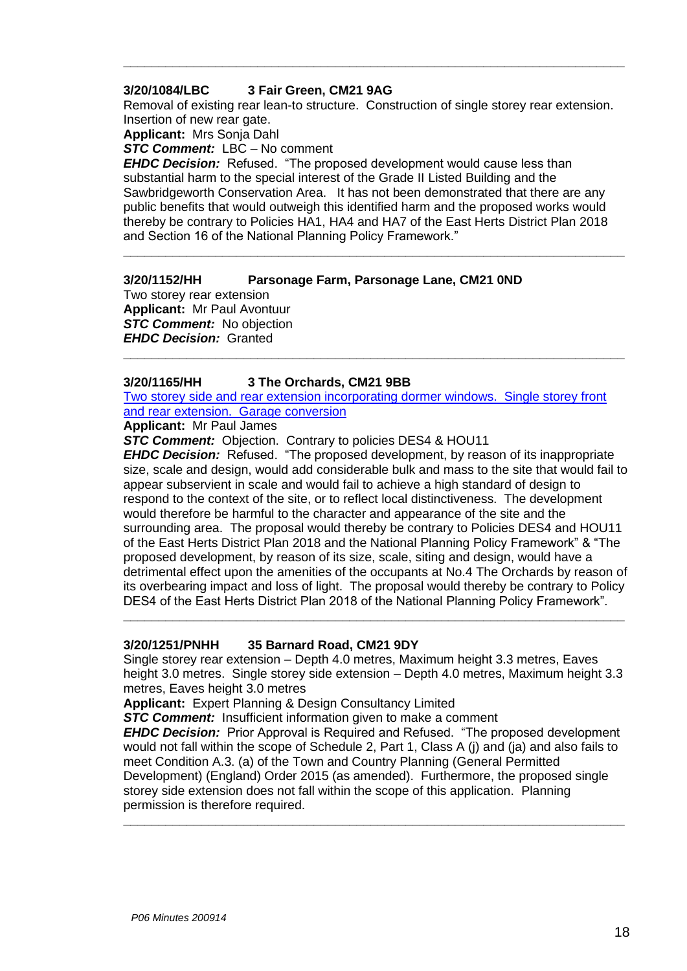#### **3/20/1084/LBC 3 Fair Green, CM21 9AG**

Removal of existing rear lean-to structure. Construction of single storey rear extension. Insertion of new rear gate.

**\_\_\_\_\_\_\_\_\_\_\_\_\_\_\_\_\_\_\_\_\_\_\_\_\_\_\_\_\_\_\_\_\_\_\_\_\_\_\_\_\_\_\_\_\_\_\_\_\_\_\_\_\_\_\_\_\_\_\_\_\_\_\_\_\_\_\_\_\_\_\_**

**Applicant:** Mrs Sonja Dahl

*STC Comment:* LBC – No comment

*EHDC Decision:* Refused. "The proposed development would cause less than substantial harm to the special interest of the Grade II Listed Building and the Sawbridgeworth Conservation Area. It has not been demonstrated that there are any public benefits that would outweigh this identified harm and the proposed works would thereby be contrary to Policies HA1, HA4 and HA7 of the East Herts District Plan 2018 and Section 16 of the National Planning Policy Framework."

**\_\_\_\_\_\_\_\_\_\_\_\_\_\_\_\_\_\_\_\_\_\_\_\_\_\_\_\_\_\_\_\_\_\_\_\_\_\_\_\_\_\_\_\_\_\_\_\_\_\_\_\_\_\_\_\_\_\_\_\_\_\_\_\_\_\_\_\_\_\_\_**

#### **3/20/1152/HH Parsonage Farm, Parsonage Lane, CM21 0ND**

Two storey rear extension **Applicant:** Mr Paul Avontuur *STC Comment:* No objection *EHDC Decision:* Granted

#### **3/20/1165/HH 3 The Orchards, CM21 9BB**

Two storey side and rear extension incorporating dormer windows. Single storey front and rear extension. Garage conversion

**\_\_\_\_\_\_\_\_\_\_\_\_\_\_\_\_\_\_\_\_\_\_\_\_\_\_\_\_\_\_\_\_\_\_\_\_\_\_\_\_\_\_\_\_\_\_\_\_\_\_\_\_\_\_\_\_\_\_\_\_\_\_\_\_\_\_\_\_\_\_\_**

**Applicant:** Mr Paul James

*STC Comment:* Objection. Contrary to policies DES4 & HOU11

*EHDC Decision:* Refused. "The proposed development, by reason of its inappropriate size, scale and design, would add considerable bulk and mass to the site that would fail to appear subservient in scale and would fail to achieve a high standard of design to respond to the context of the site, or to reflect local distinctiveness. The development would therefore be harmful to the character and appearance of the site and the surrounding area. The proposal would thereby be contrary to Policies DES4 and HOU11 of the East Herts District Plan 2018 and the National Planning Policy Framework" & "The proposed development, by reason of its size, scale, siting and design, would have a detrimental effect upon the amenities of the occupants at No.4 The Orchards by reason of its overbearing impact and loss of light. The proposal would thereby be contrary to Policy DES4 of the East Herts District Plan 2018 of the National Planning Policy Framework".

#### **3/20/1251/PNHH 35 Barnard Road, CM21 9DY**

Single storey rear extension – Depth 4.0 metres, Maximum height 3.3 metres, Eaves height 3.0 metres. Single storey side extension – Depth 4.0 metres, Maximum height 3.3 metres, Eaves height 3.0 metres

**\_\_\_\_\_\_\_\_\_\_\_\_\_\_\_\_\_\_\_\_\_\_\_\_\_\_\_\_\_\_\_\_\_\_\_\_\_\_\_\_\_\_\_\_\_\_\_\_\_\_\_\_\_\_\_\_\_\_\_\_\_\_\_\_\_\_\_\_\_\_\_**

**Applicant:** Expert Planning & Design Consultancy Limited

*STC Comment:* Insufficient information given to make a comment

*EHDC Decision:* Prior Approval is Required and Refused. "The proposed development would not fall within the scope of Schedule 2, Part 1, Class A (j) and (ja) and also fails to meet Condition A.3. (a) of the Town and Country Planning (General Permitted Development) (England) Order 2015 (as amended). Furthermore, the proposed single storey side extension does not fall within the scope of this application. Planning permission is therefore required.

**\_\_\_\_\_\_\_\_\_\_\_\_\_\_\_\_\_\_\_\_\_\_\_\_\_\_\_\_\_\_\_\_\_\_\_\_\_\_\_\_\_\_\_\_\_\_\_\_\_\_\_\_\_\_\_\_\_\_\_\_\_\_\_\_\_\_\_\_\_\_\_**